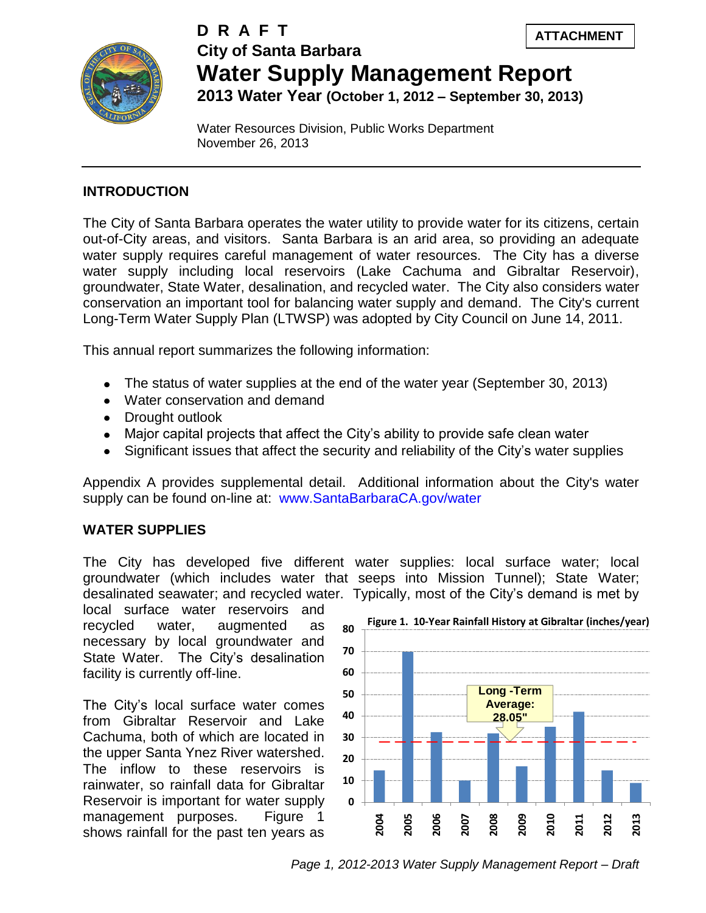



# **City of Santa Barbara Water Supply Management Report 2013 Water Year (October 1, 2012 – September 30, 2013) D R A F T**

Water Resources Division, Public Works Department November 26, 2013

### **INTRODUCTION**

The City of Santa Barbara operates the water utility to provide water for its citizens, certain out-of-City areas, and visitors. Santa Barbara is an arid area, so providing an adequate water supply requires careful management of water resources. The City has a diverse water supply including local reservoirs (Lake Cachuma and Gibraltar Reservoir), groundwater, State Water, desalination, and recycled water. The City also considers water conservation an important tool for balancing water supply and demand. The City's current Long-Term Water Supply Plan (LTWSP) was adopted by City Council on June 14, 2011.

This annual report summarizes the following information:

- The status of water supplies at the end of the water year (September 30, 2013)
- Water conservation and demand
- Drought outlook
- Major capital projects that affect the City's ability to provide safe clean water
- Significant issues that affect the security and reliability of the City's water supplies

Appendix A provides supplemental detail. Additional information about the City's water supply can be found on-line at: www.SantaBarbaraCA.gov/water

### **WATER SUPPLIES**

The City has developed five different water supplies: local surface water; local groundwater (which includes water that seeps into Mission Tunnel); State Water; desalinated seawater; and recycled water. Typically, most of the City's demand is met by

local surface water reservoirs and recycled water, augmented as necessary by local groundwater and State Water. The City's desalination facility is currently off-line.

The City's local surface water comes from Gibraltar Reservoir and Lake Cachuma, both of which are located in the upper Santa Ynez River watershed. The inflow to these reservoirs is rainwater, so rainfall data for Gibraltar Reservoir is important for water supply management purposes. Figure 1 shows rainfall for the past ten years as



*Page 1, 2012-2013 Water Supply Management Report – Draft*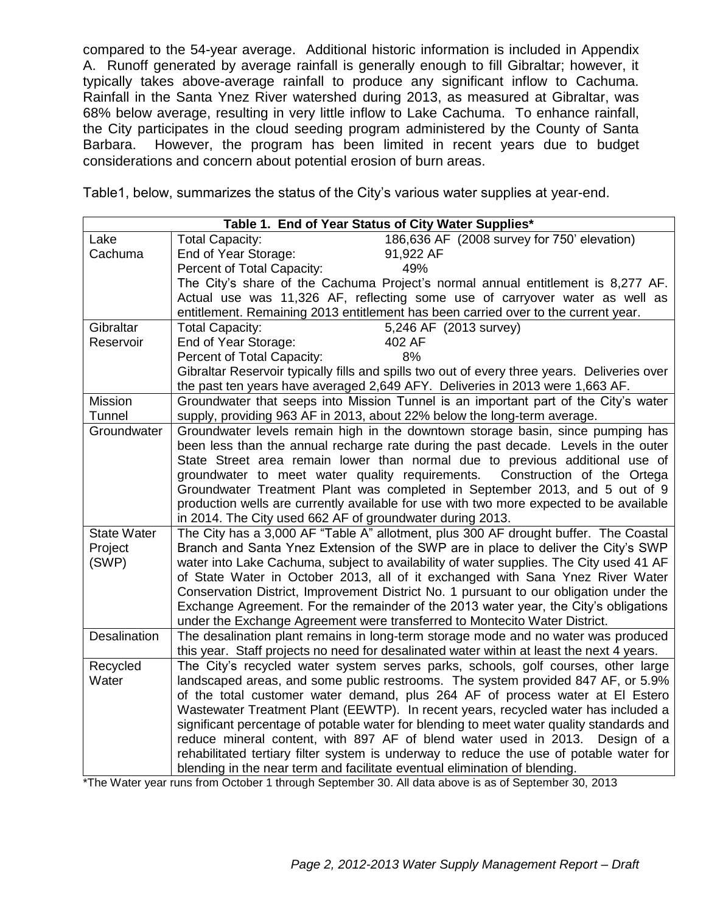compared to the 54-year average. Additional historic information is included in Appendix A. Runoff generated by average rainfall is generally enough to fill Gibraltar; however, it typically takes above-average rainfall to produce any significant inflow to Cachuma. Rainfall in the Santa Ynez River watershed during 2013, as measured at Gibraltar, was 68% below average, resulting in very little inflow to Lake Cachuma. To enhance rainfall, the City participates in the cloud seeding program administered by the County of Santa Barbara. However, the program has been limited in recent years due to budget considerations and concern about potential erosion of burn areas.

Table1, below, summarizes the status of the City's various water supplies at year-end.

| Table 1. End of Year Status of City Water Supplies* |                                                                                                                                                                           |                                                                                                                                                                  |  |  |  |
|-----------------------------------------------------|---------------------------------------------------------------------------------------------------------------------------------------------------------------------------|------------------------------------------------------------------------------------------------------------------------------------------------------------------|--|--|--|
| Lake                                                | <b>Total Capacity:</b>                                                                                                                                                    | 186,636 AF (2008 survey for 750' elevation)                                                                                                                      |  |  |  |
| Cachuma                                             | End of Year Storage:                                                                                                                                                      | 91,922 AF                                                                                                                                                        |  |  |  |
|                                                     | Percent of Total Capacity:<br>49%                                                                                                                                         |                                                                                                                                                                  |  |  |  |
|                                                     | The City's share of the Cachuma Project's normal annual entitlement is 8,277 AF.                                                                                          |                                                                                                                                                                  |  |  |  |
|                                                     | Actual use was 11,326 AF, reflecting some use of carryover water as well as                                                                                               |                                                                                                                                                                  |  |  |  |
|                                                     | entitlement. Remaining 2013 entitlement has been carried over to the current year.                                                                                        |                                                                                                                                                                  |  |  |  |
| Gibraltar                                           | <b>Total Capacity:</b>                                                                                                                                                    | 5,246 AF (2013 survey)                                                                                                                                           |  |  |  |
| Reservoir                                           | End of Year Storage:                                                                                                                                                      | 402 AF                                                                                                                                                           |  |  |  |
|                                                     | 8%<br>Percent of Total Capacity:                                                                                                                                          |                                                                                                                                                                  |  |  |  |
|                                                     | Gibraltar Reservoir typically fills and spills two out of every three years. Deliveries over                                                                              |                                                                                                                                                                  |  |  |  |
|                                                     | the past ten years have averaged 2,649 AFY. Deliveries in 2013 were 1,663 AF.                                                                                             |                                                                                                                                                                  |  |  |  |
| <b>Mission</b>                                      | Groundwater that seeps into Mission Tunnel is an important part of the City's water                                                                                       |                                                                                                                                                                  |  |  |  |
| Tunnel                                              | supply, providing 963 AF in 2013, about 22% below the long-term average.                                                                                                  |                                                                                                                                                                  |  |  |  |
| Groundwater                                         | Groundwater levels remain high in the downtown storage basin, since pumping has                                                                                           |                                                                                                                                                                  |  |  |  |
|                                                     | been less than the annual recharge rate during the past decade. Levels in the outer                                                                                       |                                                                                                                                                                  |  |  |  |
|                                                     | State Street area remain lower than normal due to previous additional use of                                                                                              |                                                                                                                                                                  |  |  |  |
|                                                     | groundwater to meet water quality requirements.<br>Construction of the Ortega                                                                                             |                                                                                                                                                                  |  |  |  |
|                                                     |                                                                                                                                                                           | Groundwater Treatment Plant was completed in September 2013, and 5 out of 9                                                                                      |  |  |  |
|                                                     |                                                                                                                                                                           | production wells are currently available for use with two more expected to be available                                                                          |  |  |  |
|                                                     | in 2014. The City used 662 AF of groundwater during 2013.                                                                                                                 |                                                                                                                                                                  |  |  |  |
| <b>State Water</b>                                  |                                                                                                                                                                           | The City has a 3,000 AF "Table A" allotment, plus 300 AF drought buffer. The Coastal                                                                             |  |  |  |
| Project                                             | Branch and Santa Ynez Extension of the SWP are in place to deliver the City's SWP                                                                                         |                                                                                                                                                                  |  |  |  |
| (SWP)                                               | water into Lake Cachuma, subject to availability of water supplies. The City used 41 AF<br>of State Water in October 2013, all of it exchanged with Sana Ynez River Water |                                                                                                                                                                  |  |  |  |
|                                                     |                                                                                                                                                                           |                                                                                                                                                                  |  |  |  |
|                                                     |                                                                                                                                                                           | Conservation District, Improvement District No. 1 pursuant to our obligation under the                                                                           |  |  |  |
|                                                     |                                                                                                                                                                           | Exchange Agreement. For the remainder of the 2013 water year, the City's obligations                                                                             |  |  |  |
| <b>Desalination</b>                                 |                                                                                                                                                                           | under the Exchange Agreement were transferred to Montecito Water District.<br>The desalination plant remains in long-term storage mode and no water was produced |  |  |  |
|                                                     |                                                                                                                                                                           | this year. Staff projects no need for desalinated water within at least the next 4 years.                                                                        |  |  |  |
| Recycled                                            |                                                                                                                                                                           | The City's recycled water system serves parks, schools, golf courses, other large                                                                                |  |  |  |
| Water                                               |                                                                                                                                                                           |                                                                                                                                                                  |  |  |  |
|                                                     | landscaped areas, and some public restrooms. The system provided 847 AF, or 5.9%<br>of the total customer water demand, plus 264 AF of process water at El Estero         |                                                                                                                                                                  |  |  |  |
|                                                     |                                                                                                                                                                           | Wastewater Treatment Plant (EEWTP). In recent years, recycled water has included a                                                                               |  |  |  |
|                                                     |                                                                                                                                                                           | significant percentage of potable water for blending to meet water quality standards and                                                                         |  |  |  |
|                                                     |                                                                                                                                                                           | reduce mineral content, with 897 AF of blend water used in 2013. Design of a                                                                                     |  |  |  |
|                                                     |                                                                                                                                                                           | rehabilitated tertiary filter system is underway to reduce the use of potable water for                                                                          |  |  |  |
|                                                     |                                                                                                                                                                           |                                                                                                                                                                  |  |  |  |
|                                                     | blending in the near term and facilitate eventual elimination of blending.                                                                                                |                                                                                                                                                                  |  |  |  |

\*The Water year runs from October 1 through September 30. All data above is as of September 30, 2013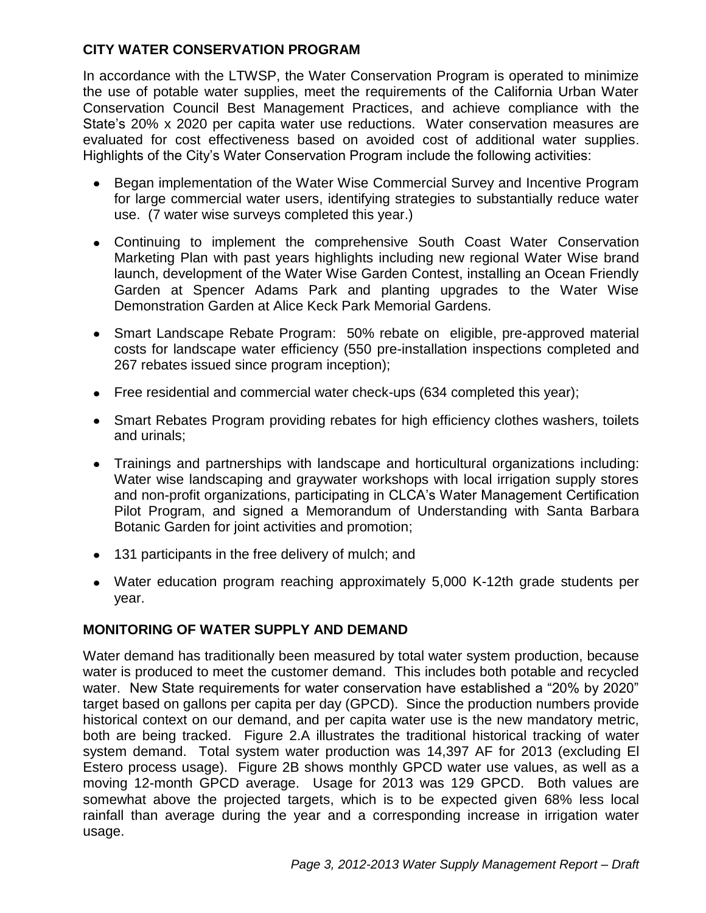## **CITY WATER CONSERVATION PROGRAM**

In accordance with the LTWSP, the Water Conservation Program is operated to minimize the use of potable water supplies, meet the requirements of the California Urban Water Conservation Council Best Management Practices, and achieve compliance with the State's 20% x 2020 per capita water use reductions. Water conservation measures are evaluated for cost effectiveness based on avoided cost of additional water supplies. Highlights of the City's Water Conservation Program include the following activities:

- Began implementation of the Water Wise Commercial Survey and Incentive Program  $\bullet$ for large commercial water users, identifying strategies to substantially reduce water use. (7 water wise surveys completed this year.)
- Continuing to implement the comprehensive South Coast Water Conservation Marketing Plan with past years highlights including new regional Water Wise brand launch, development of the Water Wise Garden Contest, installing an Ocean Friendly Garden at Spencer Adams Park and planting upgrades to the Water Wise Demonstration Garden at Alice Keck Park Memorial Gardens.
- Smart Landscape Rebate Program: 50% rebate on eligible, pre-approved material costs for landscape water efficiency (550 pre-installation inspections completed and 267 rebates issued since program inception);
- Free residential and commercial water check-ups (634 completed this year);
- Smart Rebates Program providing rebates for high efficiency clothes washers, toilets and urinals;
- Trainings and partnerships with landscape and horticultural organizations including: Water wise landscaping and graywater workshops with local irrigation supply stores and non-profit organizations, participating in CLCA's Water Management Certification Pilot Program, and signed a Memorandum of Understanding with Santa Barbara Botanic Garden for joint activities and promotion;
- 131 participants in the free delivery of mulch; and
- Water education program reaching approximately 5,000 K-12th grade students per year.

## **MONITORING OF WATER SUPPLY AND DEMAND**

Water demand has traditionally been measured by total water system production, because water is produced to meet the customer demand. This includes both potable and recycled water. New State requirements for water conservation have established a "20% by 2020" target based on gallons per capita per day (GPCD). Since the production numbers provide historical context on our demand, and per capita water use is the new mandatory metric, both are being tracked. Figure 2.A illustrates the traditional historical tracking of water system demand. Total system water production was 14,397 AF for 2013 (excluding El Estero process usage). Figure 2B shows monthly GPCD water use values, as well as a moving 12-month GPCD average. Usage for 2013 was 129 GPCD. Both values are somewhat above the projected targets, which is to be expected given 68% less local rainfall than average during the year and a corresponding increase in irrigation water usage.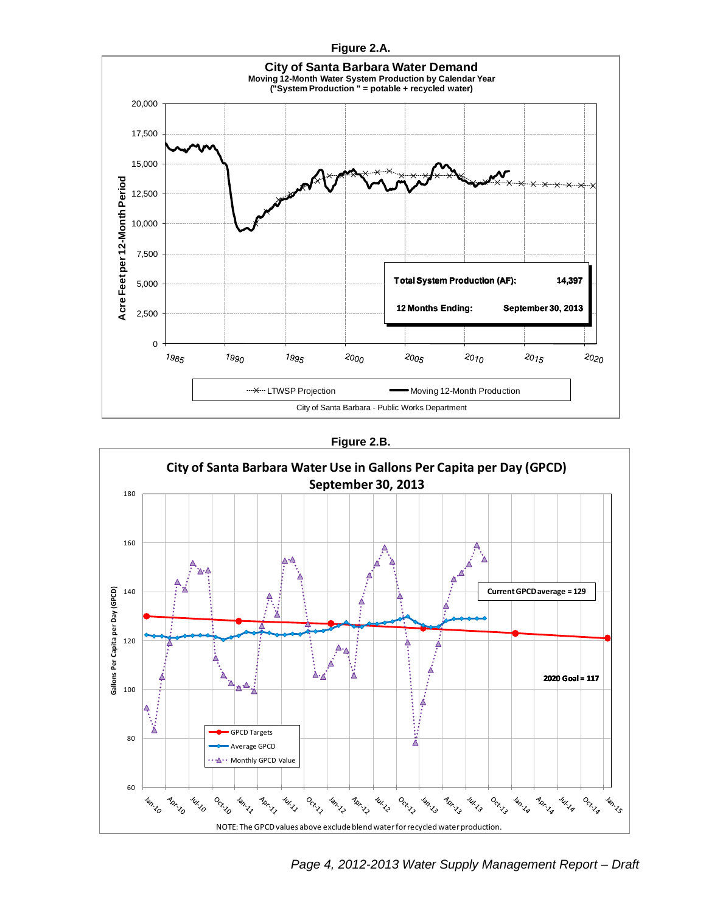



**Figure 2.B.**



*Page 4, 2012-2013 Water Supply Management Report – Draft*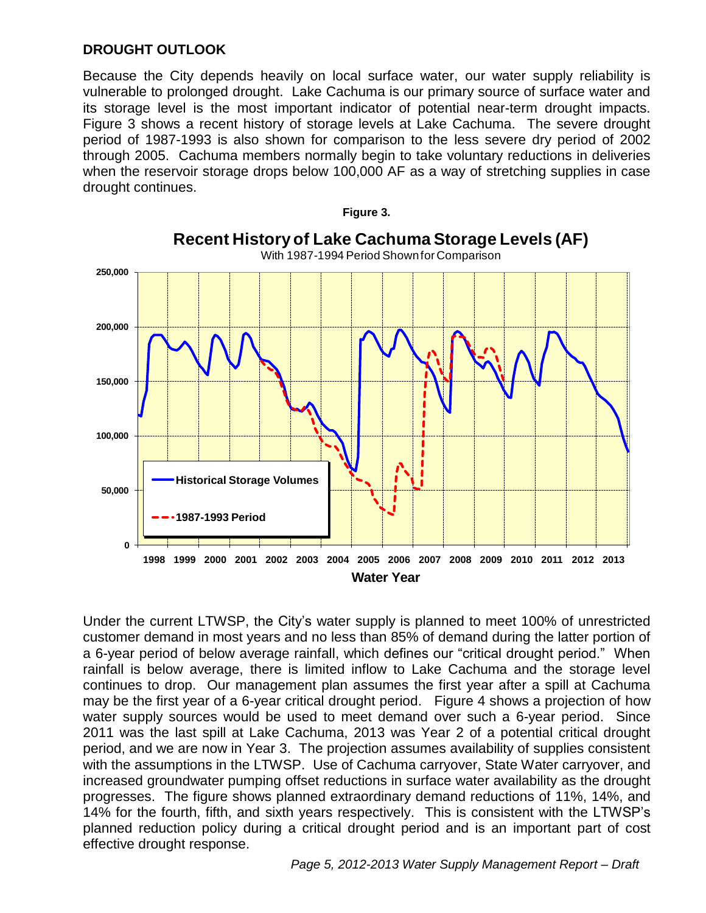### **DROUGHT OUTLOOK**

Because the City depends heavily on local surface water, our water supply reliability is vulnerable to prolonged drought. Lake Cachuma is our primary source of surface water and its storage level is the most important indicator of potential near-term drought impacts. Figure 3 shows a recent history of storage levels at Lake Cachuma. The severe drought period of 1987-1993 is also shown for comparison to the less severe dry period of 2002 through 2005. Cachuma members normally begin to take voluntary reductions in deliveries when the reservoir storage drops below 100,000 AF as a way of stretching supplies in case drought continues.



Under the current LTWSP, the City's water supply is planned to meet 100% of unrestricted customer demand in most years and no less than 85% of demand during the latter portion of a 6-year period of below average rainfall, which defines our "critical drought period." When rainfall is below average, there is limited inflow to Lake Cachuma and the storage level continues to drop. Our management plan assumes the first year after a spill at Cachuma may be the first year of a 6-year critical drought period. Figure 4 shows a projection of how water supply sources would be used to meet demand over such a 6-year period. Since 2011 was the last spill at Lake Cachuma, 2013 was Year 2 of a potential critical drought period, and we are now in Year 3. The projection assumes availability of supplies consistent with the assumptions in the LTWSP. Use of Cachuma carryover, State Water carryover, and increased groundwater pumping offset reductions in surface water availability as the drought progresses. The figure shows planned extraordinary demand reductions of 11%, 14%, and 14% for the fourth, fifth, and sixth years respectively. This is consistent with the LTWSP's planned reduction policy during a critical drought period and is an important part of cost effective drought response.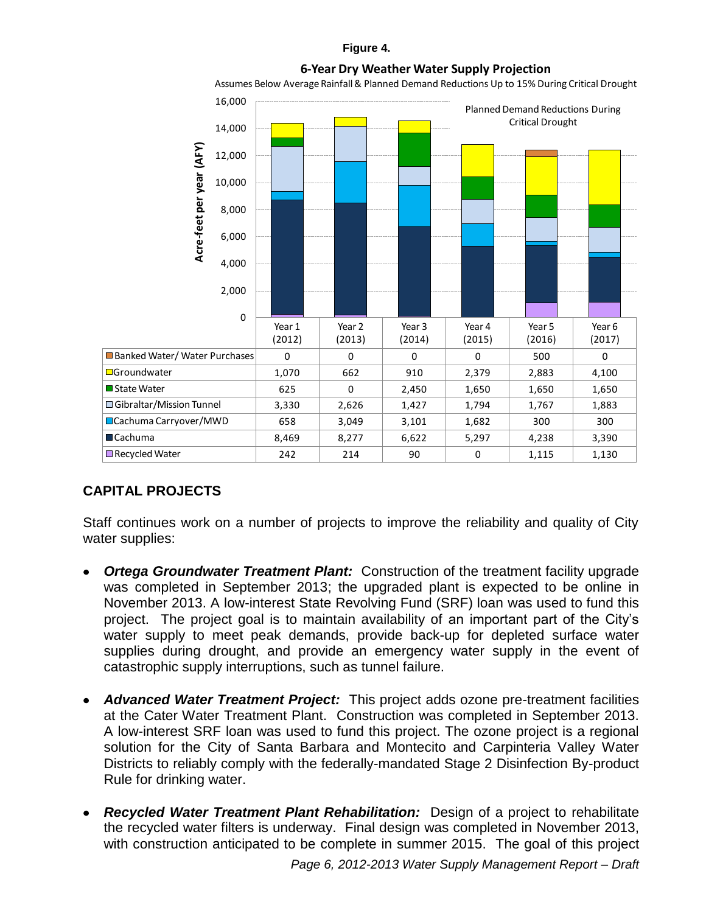#### **Figure 4.**

#### **6-Year Dry Weather Water Supply Projection**

Assumes Below Average Rainfall & Planned Demand Reductions Up to 15% During Critical Drought



### **CAPITAL PROJECTS**

Staff continues work on a number of projects to improve the reliability and quality of City water supplies:

- *Ortega Groundwater Treatment Plant:* Construction of the treatment facility upgrade was completed in September 2013; the upgraded plant is expected to be online in November 2013. A low-interest State Revolving Fund (SRF) loan was used to fund this project. The project goal is to maintain availability of an important part of the City's water supply to meet peak demands, provide back-up for depleted surface water supplies during drought, and provide an emergency water supply in the event of catastrophic supply interruptions, such as tunnel failure.
- *Advanced Water Treatment Project:* This project adds ozone pre-treatment facilities at the Cater Water Treatment Plant. Construction was completed in September 2013. A low-interest SRF loan was used to fund this project. The ozone project is a regional solution for the City of Santa Barbara and Montecito and Carpinteria Valley Water Districts to reliably comply with the federally-mandated Stage 2 Disinfection By-product Rule for drinking water.
- *Recycled Water Treatment Plant Rehabilitation:* Design of a project to rehabilitate the recycled water filters is underway. Final design was completed in November 2013, with construction anticipated to be complete in summer 2015. The goal of this project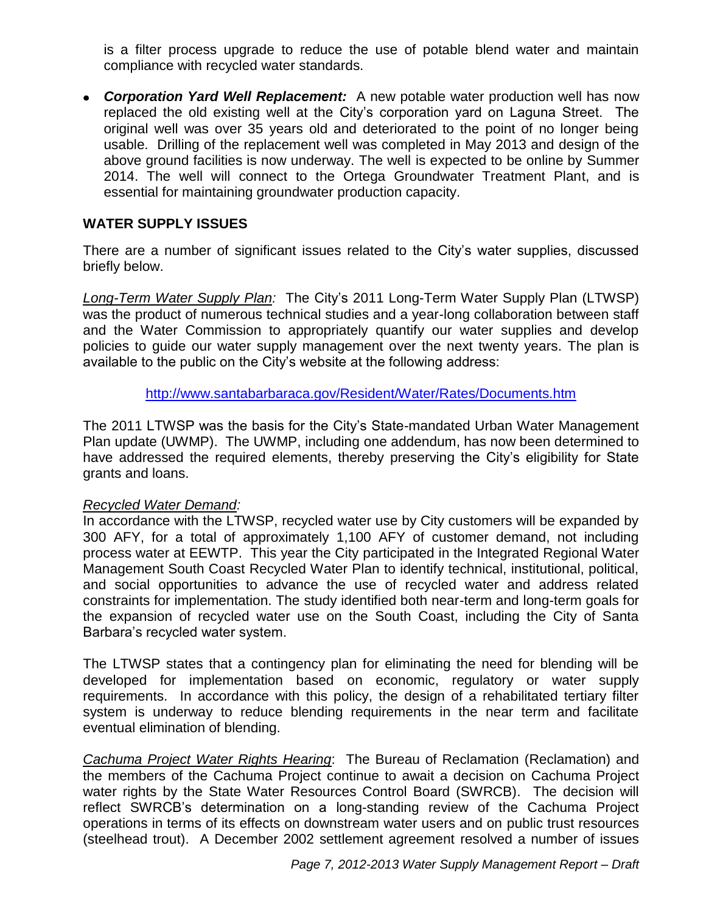is a filter process upgrade to reduce the use of potable blend water and maintain compliance with recycled water standards.

*Corporation Yard Well Replacement:* A new potable water production well has now replaced the old existing well at the City's corporation yard on Laguna Street. The original well was over 35 years old and deteriorated to the point of no longer being usable. Drilling of the replacement well was completed in May 2013 and design of the above ground facilities is now underway. The well is expected to be online by Summer 2014. The well will connect to the Ortega Groundwater Treatment Plant, and is essential for maintaining groundwater production capacity.

### **WATER SUPPLY ISSUES**

There are a number of significant issues related to the City's water supplies, discussed briefly below.

*Long-Term Water Supply Plan:* The City's 2011 Long-Term Water Supply Plan (LTWSP) was the product of numerous technical studies and a year-long collaboration between staff and the Water Commission to appropriately quantify our water supplies and develop policies to guide our water supply management over the next twenty years. The plan is available to the public on the City's website at the following address:

<http://www.santabarbaraca.gov/Resident/Water/Rates/Documents.htm>

The 2011 LTWSP was the basis for the City's State-mandated Urban Water Management Plan update (UWMP). The UWMP, including one addendum, has now been determined to have addressed the required elements, thereby preserving the City's eligibility for State grants and loans.

### *Recycled Water Demand:*

In accordance with the LTWSP, recycled water use by City customers will be expanded by 300 AFY, for a total of approximately 1,100 AFY of customer demand, not including process water at EEWTP. This year the City participated in the Integrated Regional Water Management South Coast Recycled Water Plan to identify technical, institutional, political, and social opportunities to advance the use of recycled water and address related constraints for implementation. The study identified both near-term and long-term goals for the expansion of recycled water use on the South Coast, including the City of Santa Barbara's recycled water system.

The LTWSP states that a contingency plan for eliminating the need for blending will be developed for implementation based on economic, regulatory or water supply requirements. In accordance with this policy, the design of a rehabilitated tertiary filter system is underway to reduce blending requirements in the near term and facilitate eventual elimination of blending.

*Cachuma Project Water Rights Hearing*: The Bureau of Reclamation (Reclamation) and the members of the Cachuma Project continue to await a decision on Cachuma Project water rights by the State Water Resources Control Board (SWRCB). The decision will reflect SWRCB's determination on a long-standing review of the Cachuma Project operations in terms of its effects on downstream water users and on public trust resources (steelhead trout). A December 2002 settlement agreement resolved a number of issues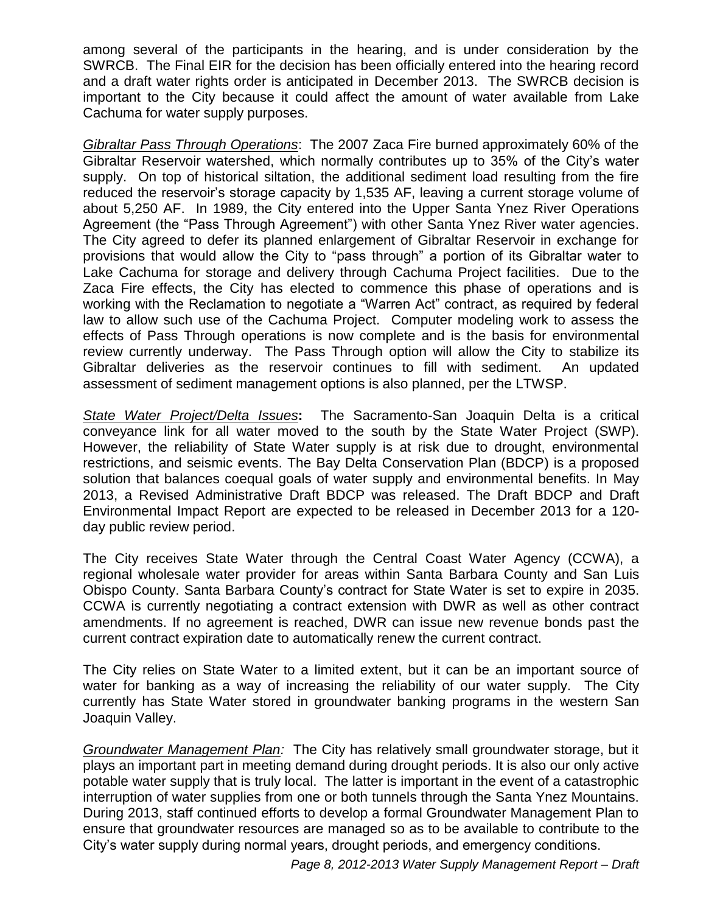among several of the participants in the hearing, and is under consideration by the SWRCB. The Final EIR for the decision has been officially entered into the hearing record and a draft water rights order is anticipated in December 2013. The SWRCB decision is important to the City because it could affect the amount of water available from Lake Cachuma for water supply purposes.

*Gibraltar Pass Through Operations*: The 2007 Zaca Fire burned approximately 60% of the Gibraltar Reservoir watershed, which normally contributes up to 35% of the City's water supply. On top of historical siltation, the additional sediment load resulting from the fire reduced the reservoir's storage capacity by 1,535 AF, leaving a current storage volume of about 5,250 AF. In 1989, the City entered into the Upper Santa Ynez River Operations Agreement (the "Pass Through Agreement") with other Santa Ynez River water agencies. The City agreed to defer its planned enlargement of Gibraltar Reservoir in exchange for provisions that would allow the City to "pass through" a portion of its Gibraltar water to Lake Cachuma for storage and delivery through Cachuma Project facilities. Due to the Zaca Fire effects, the City has elected to commence this phase of operations and is working with the Reclamation to negotiate a "Warren Act" contract, as required by federal law to allow such use of the Cachuma Project. Computer modeling work to assess the effects of Pass Through operations is now complete and is the basis for environmental review currently underway. The Pass Through option will allow the City to stabilize its Gibraltar deliveries as the reservoir continues to fill with sediment. An updated assessment of sediment management options is also planned, per the LTWSP.

*State Water Project/Delta Issues***:** The Sacramento-San Joaquin Delta is a critical conveyance link for all water moved to the south by the State Water Project (SWP). However, the reliability of State Water supply is at risk due to drought, environmental restrictions, and seismic events. The Bay Delta Conservation Plan (BDCP) is a proposed solution that balances coequal goals of water supply and environmental benefits. In May 2013, a Revised Administrative Draft BDCP was released. The Draft BDCP and Draft Environmental Impact Report are expected to be released in December 2013 for a 120 day public review period.

The City receives State Water through the Central Coast Water Agency (CCWA), a regional wholesale water provider for areas within Santa Barbara County and San Luis Obispo County. Santa Barbara County's contract for State Water is set to expire in 2035. CCWA is currently negotiating a contract extension with DWR as well as other contract amendments. If no agreement is reached, DWR can issue new revenue bonds past the current contract expiration date to automatically renew the current contract.

The City relies on State Water to a limited extent, but it can be an important source of water for banking as a way of increasing the reliability of our water supply. The City currently has State Water stored in groundwater banking programs in the western San Joaquin Valley.

*Groundwater Management Plan:* The City has relatively small groundwater storage, but it plays an important part in meeting demand during drought periods. It is also our only active potable water supply that is truly local. The latter is important in the event of a catastrophic interruption of water supplies from one or both tunnels through the Santa Ynez Mountains. During 2013, staff continued efforts to develop a formal Groundwater Management Plan to ensure that groundwater resources are managed so as to be available to contribute to the City's water supply during normal years, drought periods, and emergency conditions.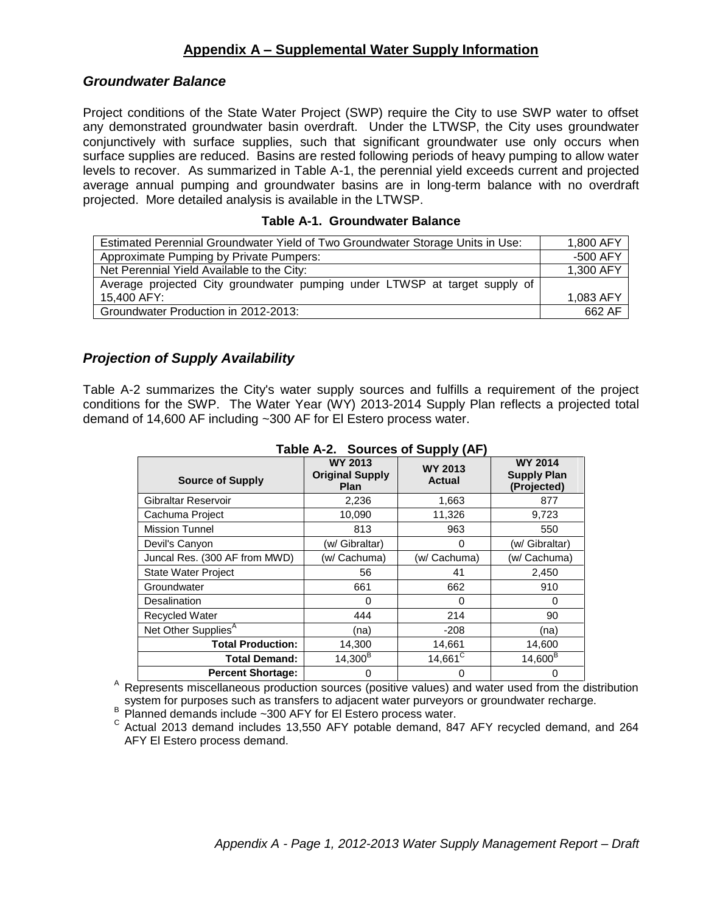### **Appendix A – Supplemental Water Supply Information**

#### *Groundwater Balance*

Project conditions of the State Water Project (SWP) require the City to use SWP water to offset any demonstrated groundwater basin overdraft. Under the LTWSP, the City uses groundwater conjunctively with surface supplies, such that significant groundwater use only occurs when surface supplies are reduced. Basins are rested following periods of heavy pumping to allow water levels to recover. As summarized in Table A-1, the perennial yield exceeds current and projected average annual pumping and groundwater basins are in long-term balance with no overdraft projected. More detailed analysis is available in the LTWSP.

#### **Table A-1. Groundwater Balance**

| Estimated Perennial Groundwater Yield of Two Groundwater Storage Units in Use: | 1,800 AFY |
|--------------------------------------------------------------------------------|-----------|
| Approximate Pumping by Private Pumpers:                                        | -500 AFY  |
| Net Perennial Yield Available to the City:                                     | 1,300 AFY |
| Average projected City groundwater pumping under LTWSP at target supply of     |           |
| 15,400 AFY:                                                                    | 1,083 AFY |
| Groundwater Production in 2012-2013:                                           | 662 AF    |

### *Projection of Supply Availability*

Table A-2 summarizes the City's water supply sources and fulfills a requirement of the project conditions for the SWP. The Water Year (WY) 2013-2014 Supply Plan reflects a projected total demand of 14,600 AF including ~300 AF for El Estero process water.

| <b>Source of Supply</b>         | <b>WY 2013</b><br><b>Original Supply</b><br><b>Plan</b> | <b>WY 2013</b><br>Actual | <b>WY 2014</b><br><b>Supply Plan</b><br>(Projected) |
|---------------------------------|---------------------------------------------------------|--------------------------|-----------------------------------------------------|
| Gibraltar Reservoir             | 2,236                                                   | 1,663                    | 877                                                 |
| Cachuma Project                 | 10,090                                                  | 11,326                   | 9,723                                               |
| <b>Mission Tunnel</b>           | 813                                                     | 963                      | 550                                                 |
| Devil's Canyon                  | (w/ Gibraltar)                                          | 0                        | (w/ Gibraltar)                                      |
| Juncal Res. (300 AF from MWD)   | (w/ Cachuma)                                            | (w/ Cachuma)             | (w/ Cachuma)                                        |
| <b>State Water Project</b>      | 56                                                      | 41                       | 2,450                                               |
| Groundwater                     | 661                                                     | 662                      | 910                                                 |
| Desalination                    | 0                                                       | 0                        | 0                                                   |
| <b>Recycled Water</b>           | 444                                                     | 214                      | 90                                                  |
| Net Other Supplies <sup>A</sup> | (na)                                                    | $-208$                   | (na)                                                |
| <b>Total Production:</b>        | 14,300                                                  | 14,661                   | 14,600                                              |
| <b>Total Demand:</b>            | $14,300^B$                                              | $14,661^{\circ}$         | $14,600^{\text{B}}$                                 |
| <b>Percent Shortage:</b>        | 0                                                       | 0                        | 0                                                   |

#### **Table A-2. Sources of Supply (AF)**

<sup>A</sup> Represents miscellaneous production sources (positive values) and water used from the distribution system for purposes such as transfers to adjacent water purveyors or groundwater recharge.

 $B$  Planned demands include ~300 AFY for El Estero process water.

 $\textdegree$  Actual 2013 demand includes 13,550 AFY potable demand, 847 AFY recycled demand, and 264 AFY El Estero process demand.